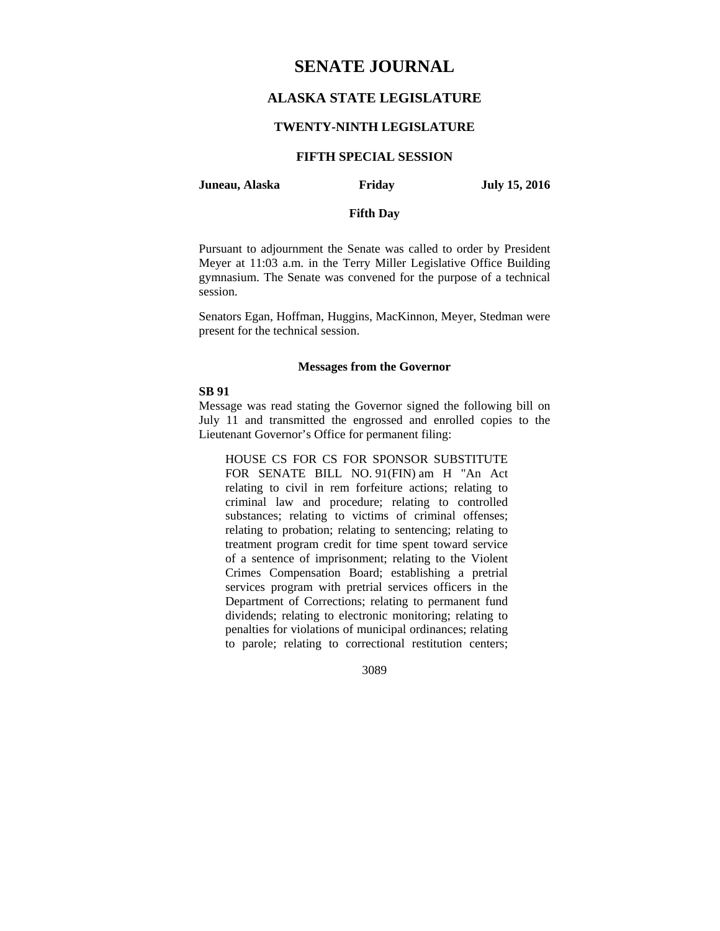# **SENATE JOURNAL**

# **ALASKA STATE LEGISLATURE**

### **TWENTY-NINTH LEGISLATURE**

## **FIFTH SPECIAL SESSION**

#### **Juneau, Alaska Friday July 15, 2016**

## **Fifth Day**

Pursuant to adjournment the Senate was called to order by President Meyer at 11:03 a.m. in the Terry Miller Legislative Office Building gymnasium. The Senate was convened for the purpose of a technical session.

Senators Egan, Hoffman, Huggins, MacKinnon, Meyer, Stedman were present for the technical session.

#### **Messages from the Governor**

#### **SB 91**

Message was read stating the Governor signed the following bill on July 11 and transmitted the engrossed and enrolled copies to the Lieutenant Governor's Office for permanent filing:

HOUSE CS FOR CS FOR SPONSOR SUBSTITUTE FOR SENATE BILL NO. 91(FIN) am H "An Act relating to civil in rem forfeiture actions; relating to criminal law and procedure; relating to controlled substances; relating to victims of criminal offenses; relating to probation; relating to sentencing; relating to treatment program credit for time spent toward service of a sentence of imprisonment; relating to the Violent Crimes Compensation Board; establishing a pretrial services program with pretrial services officers in the Department of Corrections; relating to permanent fund dividends; relating to electronic monitoring; relating to penalties for violations of municipal ordinances; relating to parole; relating to correctional restitution centers;

3089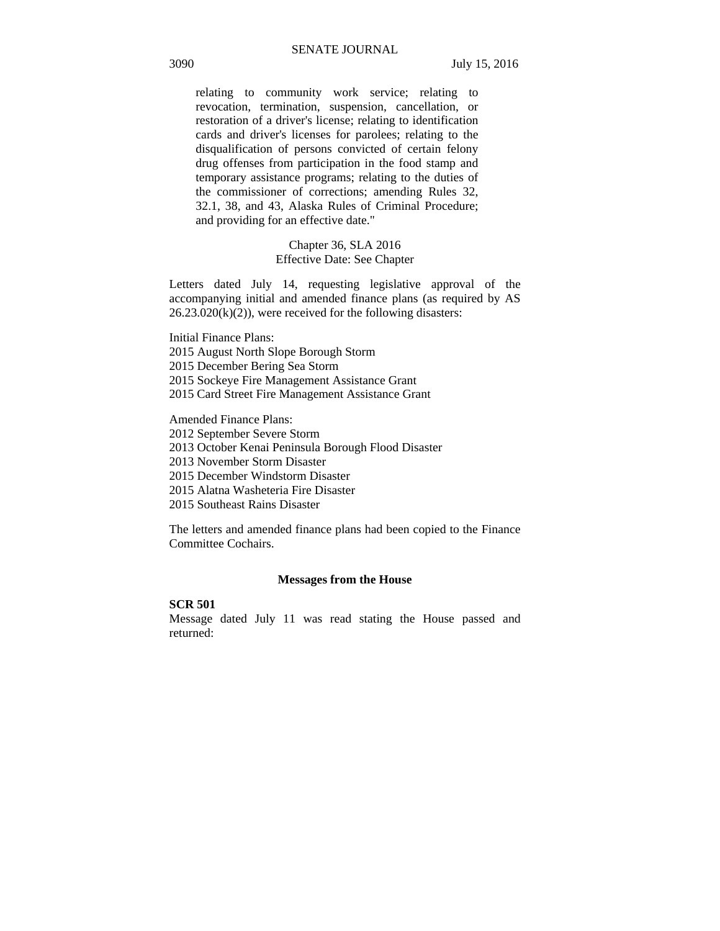relating to community work service; relating to revocation, termination, suspension, cancellation, or restoration of a driver's license; relating to identification cards and driver's licenses for parolees; relating to the disqualification of persons convicted of certain felony drug offenses from participation in the food stamp and temporary assistance programs; relating to the duties of the commissioner of corrections; amending Rules 32, 32.1, 38, and 43, Alaska Rules of Criminal Procedure; and providing for an effective date."

## Chapter 36, SLA 2016 Effective Date: See Chapter

Letters dated July 14, requesting legislative approval of the accompanying initial and amended finance plans (as required by AS  $26.23.020(k)(2)$ , were received for the following disasters:

Initial Finance Plans: 2015 August North Slope Borough Storm 2015 December Bering Sea Storm 2015 Sockeye Fire Management Assistance Grant 2015 Card Street Fire Management Assistance Grant

Amended Finance Plans:

2012 September Severe Storm

2013 October Kenai Peninsula Borough Flood Disaster

2013 November Storm Disaster

2015 December Windstorm Disaster

2015 Alatna Washeteria Fire Disaster

2015 Southeast Rains Disaster

The letters and amended finance plans had been copied to the Finance Committee Cochairs.

#### **Messages from the House**

## **SCR 501**

Message dated July 11 was read stating the House passed and returned: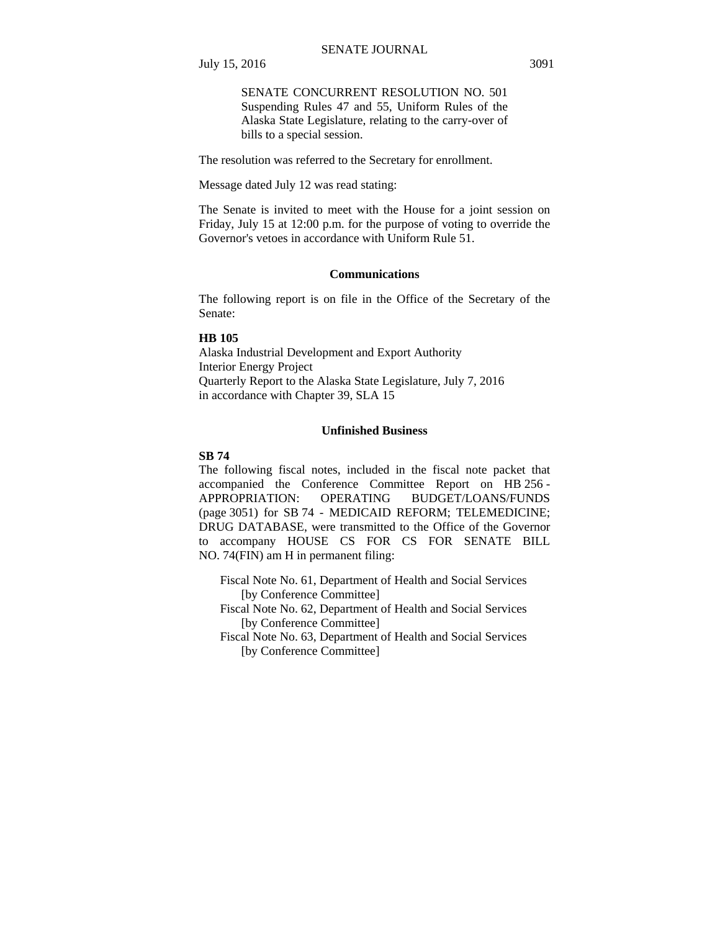SENATE CONCURRENT RESOLUTION NO. 501 Suspending Rules 47 and 55, Uniform Rules of the Alaska State Legislature, relating to the carry-over of bills to a special session.

The resolution was referred to the Secretary for enrollment.

Message dated July 12 was read stating:

The Senate is invited to meet with the House for a joint session on Friday, July 15 at 12:00 p.m. for the purpose of voting to override the Governor's vetoes in accordance with Uniform Rule 51.

#### **Communications**

The following report is on file in the Office of the Secretary of the Senate:

#### **HB 105**

Alaska Industrial Development and Export Authority Interior Energy Project Quarterly Report to the Alaska State Legislature, July 7, 2016 in accordance with Chapter 39, SLA 15

## **Unfinished Business**

#### **SB 74**

The following fiscal notes, included in the fiscal note packet that accompanied the Conference Committee Report on HB 256 - APPROPRIATION: OPERATING BUDGET/LOANS/FUNDS (page 3051) for SB 74 - MEDICAID REFORM; TELEMEDICINE; DRUG DATABASE, were transmitted to the Office of the Governor to accompany HOUSE CS FOR CS FOR SENATE BILL NO. 74(FIN) am H in permanent filing:

 Fiscal Note No. 61, Department of Health and Social Services [by Conference Committee]

 Fiscal Note No. 62, Department of Health and Social Services [by Conference Committee]

 Fiscal Note No. 63, Department of Health and Social Services [by Conference Committee]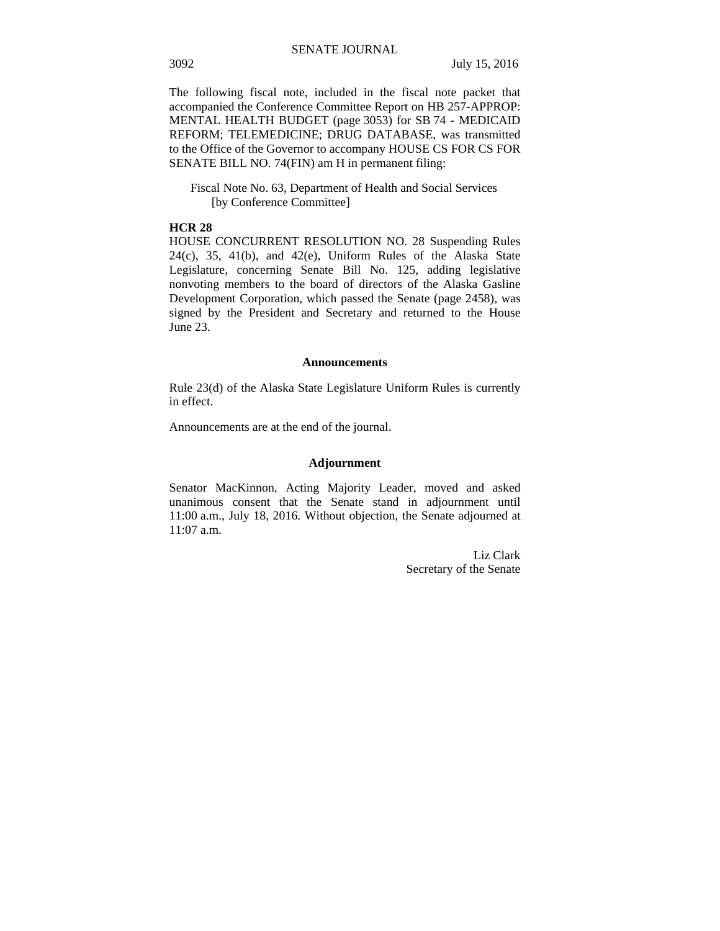The following fiscal note, included in the fiscal note packet that accompanied the Conference Committee Report on HB 257-APPROP: MENTAL HEALTH BUDGET (page 3053) for SB 74 - MEDICAID REFORM; TELEMEDICINE; DRUG DATABASE, was transmitted to the Office of the Governor to accompany HOUSE CS FOR CS FOR SENATE BILL NO. 74(FIN) am H in permanent filing:

 Fiscal Note No. 63, Department of Health and Social Services [by Conference Committee]

#### **HCR 28**

HOUSE CONCURRENT RESOLUTION NO. 28 Suspending Rules 24(c), 35, 41(b), and 42(e), Uniform Rules of the Alaska State Legislature, concerning Senate Bill No. 125, adding legislative nonvoting members to the board of directors of the Alaska Gasline Development Corporation, which passed the Senate (page 2458), was signed by the President and Secretary and returned to the House June 23.

#### **Announcements**

Rule 23(d) of the Alaska State Legislature Uniform Rules is currently in effect.

Announcements are at the end of the journal.

#### **Adjournment**

Senator MacKinnon, Acting Majority Leader, moved and asked unanimous consent that the Senate stand in adjournment until 11:00 a.m., July 18, 2016. Without objection, the Senate adjourned at 11:07 a.m.

> Liz Clark Secretary of the Senate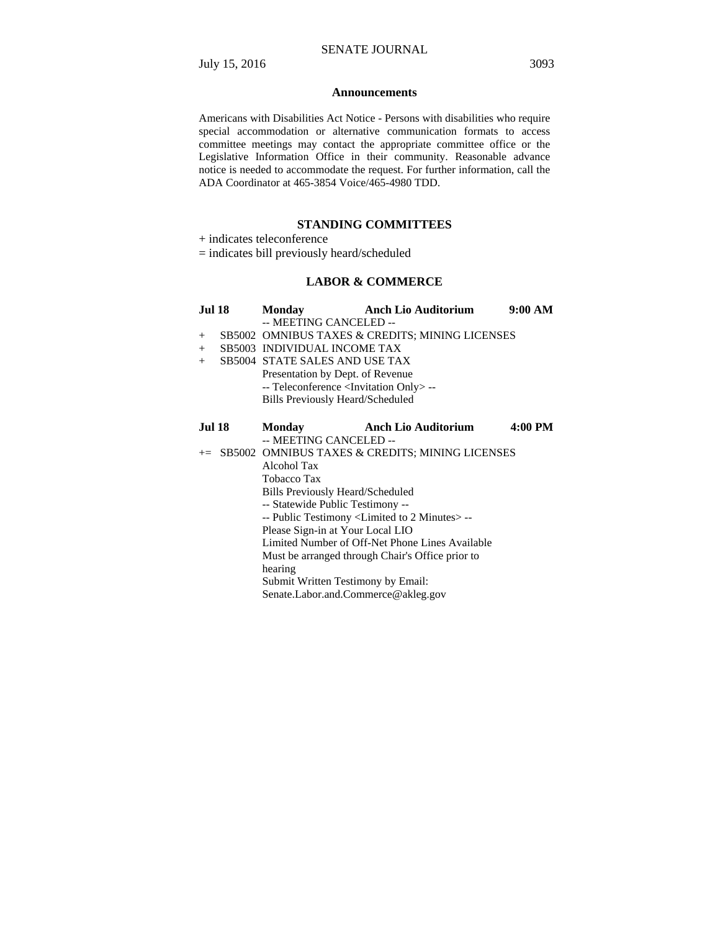#### **Announcements**

Americans with Disabilities Act Notice - Persons with disabilities who require special accommodation or alternative communication formats to access committee meetings may contact the appropriate committee office or the Legislative Information Office in their community. Reasonable advance notice is needed to accommodate the request. For further information, call the ADA Coordinator at 465-3854 Voice/465-4980 TDD.

## **STANDING COMMITTEES**

+ indicates teleconference

= indicates bill previously heard/scheduled

# **LABOR & COMMERCE**

| <b>Jul 18</b> |                                                                  | Monday <b>Anch Lio Auditorium</b> | 9:00 AM |  |
|---------------|------------------------------------------------------------------|-----------------------------------|---------|--|
|               | -- MEETING CANCELED --                                           |                                   |         |  |
| $+$           | SB5002 OMNIBUS TAXES & CREDITS; MINING LICENSES                  |                                   |         |  |
| $+$           | <b>SB5003 INDIVIDUAL INCOME TAX</b>                              |                                   |         |  |
| $+$           | <b>SB5004 STATE SALES AND USE TAX</b>                            |                                   |         |  |
|               | Presentation by Dept. of Revenue                                 |                                   |         |  |
|               | -- Teleconference <invitation only=""> --</invitation>           |                                   |         |  |
|               | Bills Previously Heard/Scheduled                                 |                                   |         |  |
|               |                                                                  |                                   |         |  |
| <b>Jul 18</b> | <b>Monday</b>                                                    | Anch Lio Auditorium               | 4:00 PM |  |
|               | -- MEETING CANCELED --                                           |                                   |         |  |
|               | += SB5002 OMNIBUS TAXES & CREDITS; MINING LICENSES               |                                   |         |  |
|               | Alcohol Tax                                                      |                                   |         |  |
|               | Tobacco Tax                                                      |                                   |         |  |
|               | Bills Previously Heard/Scheduled                                 |                                   |         |  |
|               | -- Statewide Public Testimony --                                 |                                   |         |  |
|               | -- Public Testimony <limited 2="" minutes="" to=""> --</limited> |                                   |         |  |
|               | Please Sign-in at Your Local LIO                                 |                                   |         |  |
|               | Limited Number of Off-Net Phone Lines Available                  |                                   |         |  |
|               | Must be arranged through Chair's Office prior to                 |                                   |         |  |
|               | hearing                                                          |                                   |         |  |
|               | Submit Written Testimony by Email:                               |                                   |         |  |
|               | Senate.Labor.and.Commerce@akleg.gov                              |                                   |         |  |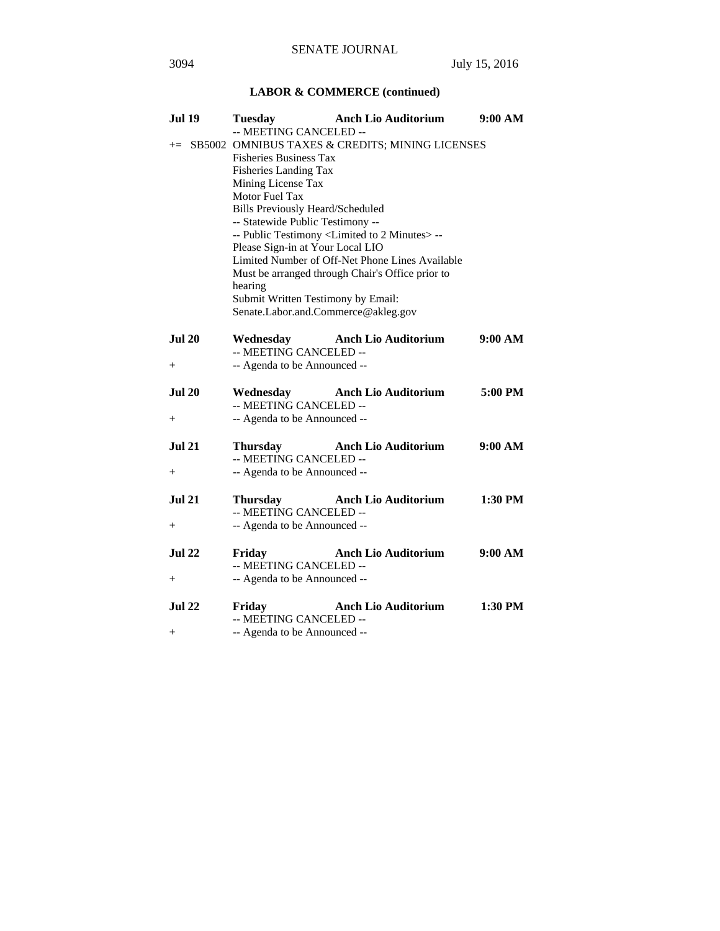# **LABOR & COMMERCE (continued)**

| <b>Jul 19</b> | <b>Tuesday</b>                                                   | <b>Anch Lio Auditorium</b>                      | 9:00 AM |
|---------------|------------------------------------------------------------------|-------------------------------------------------|---------|
|               | -- MEETING CANCELED --                                           |                                                 |         |
| $+=$          | SB5002 OMNIBUS TAXES & CREDITS; MINING LICENSES                  |                                                 |         |
|               | <b>Fisheries Business Tax</b>                                    |                                                 |         |
|               | Fisheries Landing Tax                                            |                                                 |         |
|               | Mining License Tax                                               |                                                 |         |
|               | Motor Fuel Tax                                                   |                                                 |         |
|               | <b>Bills Previously Heard/Scheduled</b>                          |                                                 |         |
|               | -- Statewide Public Testimony --                                 |                                                 |         |
|               | -- Public Testimony <limited 2="" minutes="" to=""> --</limited> |                                                 |         |
|               | Please Sign-in at Your Local LIO                                 |                                                 |         |
|               |                                                                  | Limited Number of Off-Net Phone Lines Available |         |
|               |                                                                  |                                                 |         |
|               | Must be arranged through Chair's Office prior to<br>hearing      |                                                 |         |
|               | Submit Written Testimony by Email:                               |                                                 |         |
|               | Senate.Labor.and.Commerce@akleg.gov                              |                                                 |         |
|               |                                                                  |                                                 |         |
| <b>Jul 20</b> | Wednesday                                                        | <b>Anch Lio Auditorium</b>                      | 9:00 AM |
|               | -- MEETING CANCELED --                                           |                                                 |         |
|               |                                                                  |                                                 |         |
| $^{+}$        | -- Agenda to be Announced --                                     |                                                 |         |
|               |                                                                  |                                                 |         |
| <b>Jul 20</b> | Wednesday                                                        | <b>Anch Lio Auditorium</b>                      | 5:00 PM |
|               | -- MEETING CANCELED --                                           |                                                 |         |
| $^{+}$        | -- Agenda to be Announced --                                     |                                                 |         |
|               |                                                                  |                                                 |         |
| <b>Jul 21</b> | Thursday                                                         | <b>Anch Lio Auditorium</b>                      | 9:00 AM |
|               | -- MEETING CANCELED --                                           |                                                 |         |
| $+$           | -- Agenda to be Announced --                                     |                                                 |         |
|               |                                                                  |                                                 |         |
| $Jul$ 21      | <b>Thursday</b>                                                  | <b>Anch Lio Auditorium</b>                      | 1:30 PM |
|               | -- MEETING CANCELED --                                           |                                                 |         |
| $^{+}$        | -- Agenda to be Announced --                                     |                                                 |         |
|               |                                                                  |                                                 |         |
| <b>Jul 22</b> | Friday                                                           | <b>Anch Lio Auditorium</b>                      | 9:00 AM |
|               | -- MEETING CANCELED --                                           |                                                 |         |
| $^{+}$        | -- Agenda to be Announced --                                     |                                                 |         |
|               |                                                                  |                                                 |         |
| <b>Jul 22</b> | Friday                                                           | <b>Anch Lio Auditorium</b>                      | 1:30 PM |
|               | -- MEETING CANCELED --                                           |                                                 |         |
| $^{+}$        | -- Agenda to be Announced --                                     |                                                 |         |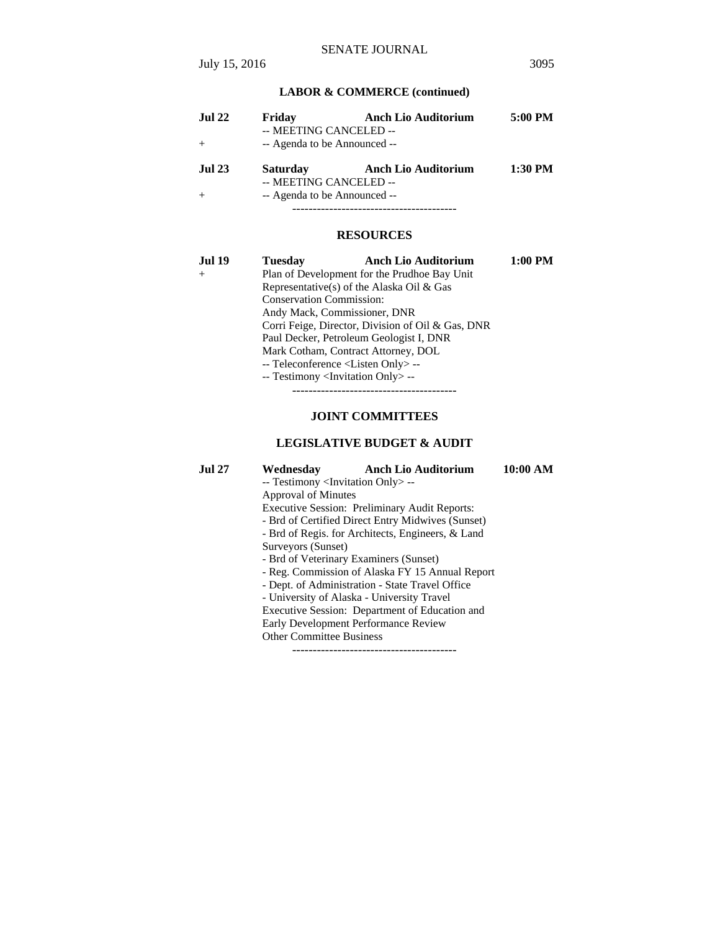# **LABOR & COMMERCE (continued)**

| <b>Jul 22</b> | Friday                       | <b>Anch Lio Auditorium</b> | 5:00 PM |
|---------------|------------------------------|----------------------------|---------|
|               | -- MEETING CANCELED --       |                            |         |
| $+$           | -- Agenda to be Announced -- |                            |         |
| <b>Jul 23</b> | <b>Saturday</b>              | <b>Anch Lio Auditorium</b> | 1:30 PM |
|               | -- MEETING CANCELED --       |                            |         |
| $+$           | -- Agenda to be Announced -- |                            |         |
|               |                              |                            |         |

#### **RESOURCES**

| Jul 19 | <b>Tuesday</b>                                    | <b>Anch Lio Auditorium</b>                        | 1:00 PM |
|--------|---------------------------------------------------|---------------------------------------------------|---------|
| $^{+}$ |                                                   | Plan of Development for the Prudhoe Bay Unit      |         |
|        | Representative(s) of the Alaska Oil & Gas         |                                                   |         |
|        | <b>Conservation Commission:</b>                   |                                                   |         |
|        | Andy Mack, Commissioner, DNR                      |                                                   |         |
|        |                                                   | Corri Feige, Director, Division of Oil & Gas, DNR |         |
|        | Paul Decker, Petroleum Geologist I, DNR           |                                                   |         |
|        | Mark Cotham, Contract Attorney, DOL               |                                                   |         |
|        | -- Teleconference <listen only=""> --</listen>    |                                                   |         |
|        | -- Testimony <invitation only=""> --</invitation> |                                                   |         |
|        |                                                   |                                                   |         |

#### **JOINT COMMITTEES**

## **LEGISLATIVE BUDGET & AUDIT**

**Jul 27 Wednesday Anch Lio Auditorium 10:00 AM** 

 -- Testimony <Invitation Only> -- Approval of Minutes

Executive Session: Preliminary Audit Reports:

- Brd of Certified Direct Entry Midwives (Sunset)

- Brd of Regis. for Architects, Engineers, & Land

Surveyors (Sunset)

- Brd of Veterinary Examiners (Sunset)

- Reg. Commission of Alaska FY 15 Annual Report

- Dept. of Administration - State Travel Office

- University of Alaska - University Travel

Executive Session: Department of Education and

Early Development Performance Review

Other Committee Business

----------------------------------------